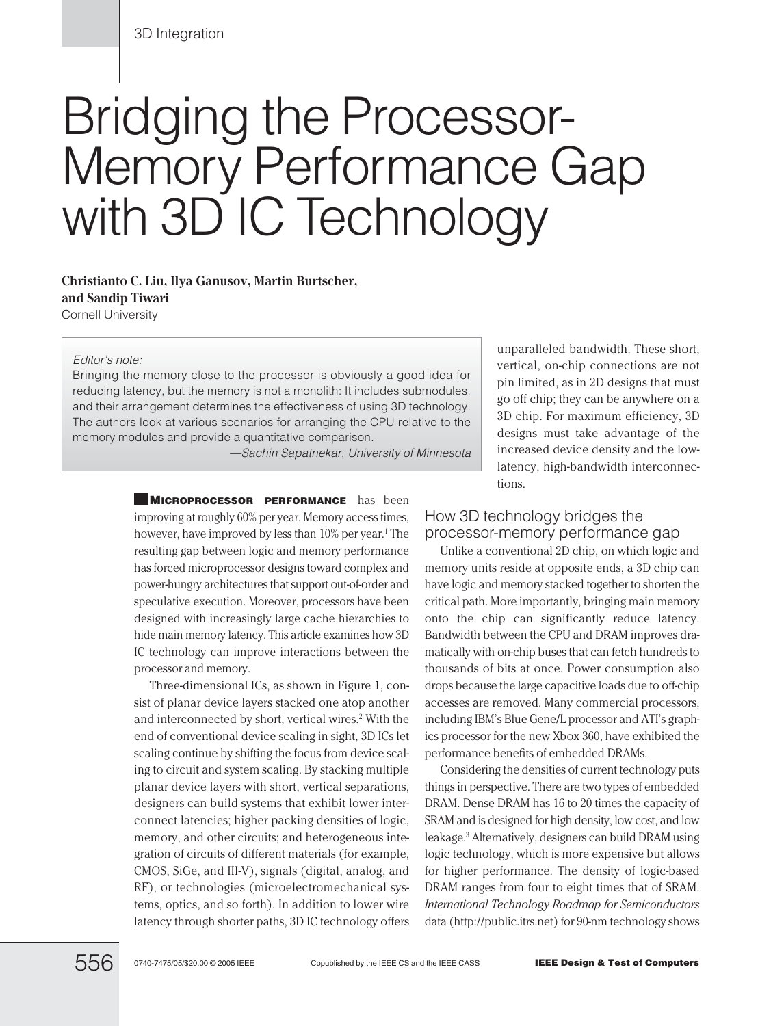# Bridging the Processor-Memory Performance Gap with 3D IC Technology

**Christianto C. Liu, Ilya Ganusov, Martin Burtscher, and Sandip Tiwari** Cornell University

#### Editor's note:

Bringing the memory close to the processor is obviously a good idea for reducing latency, but the memory is not a monolith: It includes submodules, and their arrangement determines the effectiveness of using 3D technology. The authors look at various scenarios for arranging the CPU relative to the memory modules and provide a quantitative comparison.

—Sachin Sapatnekar, University of Minnesota

**MICROPROCESSOR PERFORMANCE** has been improving at roughly 60% per year. Memory access times, however, have improved by less than 10% per year.<sup>1</sup> The resulting gap between logic and memory performance has forced microprocessor designs toward complex and power-hungry architectures that support out-of-order and speculative execution. Moreover, processors have been designed with increasingly large cache hierarchies to hide main memory latency. This article examines how 3D IC technology can improve interactions between the processor and memory.

Three-dimensional ICs, as shown in Figure 1, consist of planar device layers stacked one atop another and interconnected by short, vertical wires.<sup>2</sup> With the end of conventional device scaling in sight, 3D ICs let scaling continue by shifting the focus from device scaling to circuit and system scaling. By stacking multiple planar device layers with short, vertical separations, designers can build systems that exhibit lower interconnect latencies; higher packing densities of logic, memory, and other circuits; and heterogeneous integration of circuits of different materials (for example, CMOS, SiGe, and III-V), signals (digital, analog, and RF), or technologies (microelectromechanical systems, optics, and so forth). In addition to lower wire latency through shorter paths, 3D IC technology offers

unparalleled bandwidth. These short, vertical, on-chip connections are not pin limited, as in 2D designs that must go off chip; they can be anywhere on a 3D chip. For maximum efficiency, 3D designs must take advantage of the increased device density and the lowlatency, high-bandwidth interconnections.

#### How 3D technology bridges the processor-memory performance gap

Unlike a conventional 2D chip, on which logic and memory units reside at opposite ends, a 3D chip can have logic and memory stacked together to shorten the critical path. More importantly, bringing main memory onto the chip can significantly reduce latency. Bandwidth between the CPU and DRAM improves dramatically with on-chip buses that can fetch hundreds to thousands of bits at once. Power consumption also drops because the large capacitive loads due to off-chip accesses are removed. Many commercial processors, including IBM's Blue Gene/L processor and ATI's graphics processor for the new Xbox 360, have exhibited the performance benefits of embedded DRAMs.

Considering the densities of current technology puts things in perspective. There are two types of embedded DRAM. Dense DRAM has 16 to 20 times the capacity of SRAM and is designed for high density, low cost, and low leakage.3 Alternatively, designers can build DRAM using logic technology, which is more expensive but allows for higher performance. The density of logic-based DRAM ranges from four to eight times that of SRAM. *International Technology Roadmap for Semiconductors* data (http://public.itrs.net) for 90-nm technology shows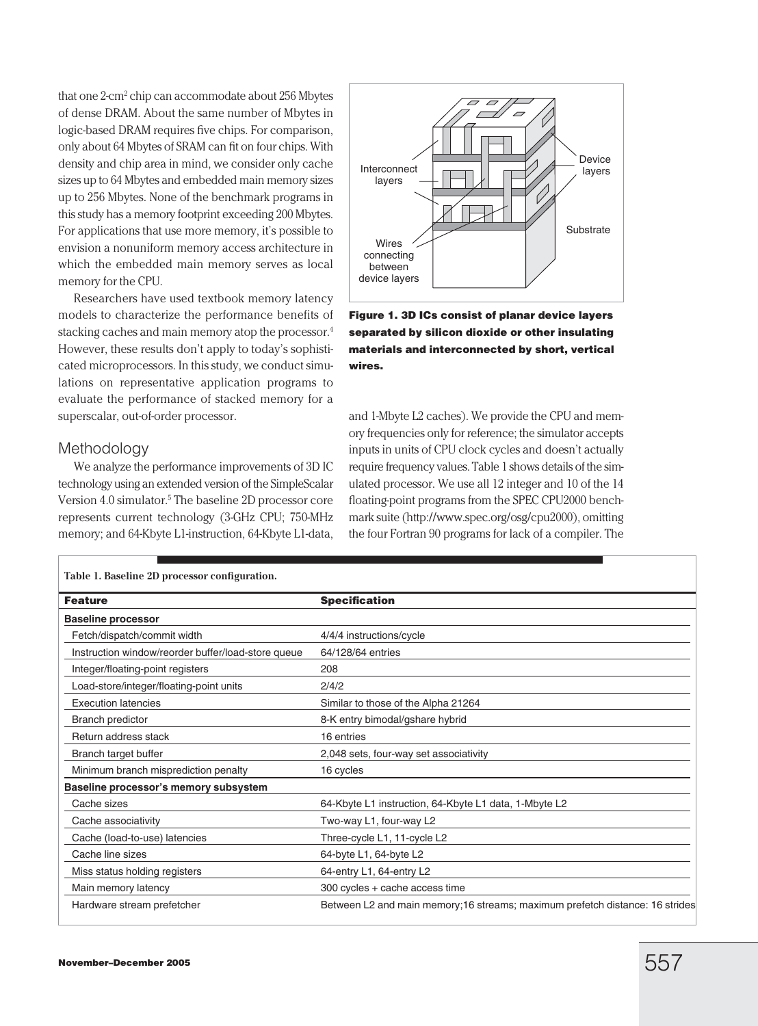that one 2-cm2 chip can accommodate about 256 Mbytes of dense DRAM. About the same number of Mbytes in logic-based DRAM requires five chips. For comparison, only about 64 Mbytes of SRAM can fit on four chips. With density and chip area in mind, we consider only cache sizes up to 64 Mbytes and embedded main memory sizes up to 256 Mbytes. None of the benchmark programs in this study has a memory footprint exceeding 200 Mbytes. For applications that use more memory, it's possible to envision a nonuniform memory access architecture in which the embedded main memory serves as local memory for the CPU.

Researchers have used textbook memory latency models to characterize the performance benefits of stacking caches and main memory atop the processor.4 However, these results don't apply to today's sophisticated microprocessors. In this study, we conduct simulations on representative application programs to evaluate the performance of stacked memory for a superscalar, out-of-order processor.

#### Methodology

We analyze the performance improvements of 3D IC technology using an extended version of the SimpleScalar Version 4.0 simulator.<sup>5</sup> The baseline 2D processor core represents current technology (3-GHz CPU; 750-MHz memory; and 64-Kbyte L1-instruction, 64-Kbyte L1-data,



**Figure 1. 3D ICs consist of planar device layers separated by silicon dioxide or other insulating materials and interconnected by short, vertical wires.**

and 1-Mbyte L2 caches). We provide the CPU and memory frequencies only for reference; the simulator accepts inputs in units of CPU clock cycles and doesn't actually require frequency values. Table 1 shows details of the simulated processor. We use all 12 integer and 10 of the 14 floating-point programs from the SPEC CPU2000 benchmark suite (http://www.spec.org/osg/cpu2000), omitting the four Fortran 90 programs for lack of a compiler. The

| Table 1. Baseline 2D processor configuration.      |                                                                               |  |
|----------------------------------------------------|-------------------------------------------------------------------------------|--|
| <b>Feature</b>                                     | <b>Specification</b>                                                          |  |
| <b>Baseline processor</b>                          |                                                                               |  |
| Fetch/dispatch/commit width                        | 4/4/4 instructions/cycle                                                      |  |
| Instruction window/reorder buffer/load-store queue | 64/128/64 entries                                                             |  |
| Integer/floating-point registers                   | 208                                                                           |  |
| Load-store/integer/floating-point units            | 2/4/2                                                                         |  |
| <b>Execution latencies</b>                         | Similar to those of the Alpha 21264                                           |  |
| <b>Branch predictor</b>                            | 8-K entry bimodal/gshare hybrid                                               |  |
| Return address stack                               | 16 entries                                                                    |  |
| Branch target buffer                               | 2,048 sets, four-way set associativity                                        |  |
| Minimum branch misprediction penalty               | 16 cycles                                                                     |  |
| Baseline processor's memory subsystem              |                                                                               |  |
| Cache sizes                                        | 64-Kbyte L1 instruction, 64-Kbyte L1 data, 1-Mbyte L2                         |  |
| Cache associativity                                | Two-way L1, four-way L2                                                       |  |
| Cache (load-to-use) latencies                      | Three-cycle L1, 11-cycle L2                                                   |  |
| Cache line sizes                                   | 64-byte L1, 64-byte L2                                                        |  |
| Miss status holding registers                      | 64-entry L1, 64-entry L2                                                      |  |
| Main memory latency                                | 300 cycles + cache access time                                                |  |
| Hardware stream prefetcher                         | Between L2 and main memory; 16 streams; maximum prefetch distance: 16 strides |  |

### **Table 1. Baseline 2D processor configuration.**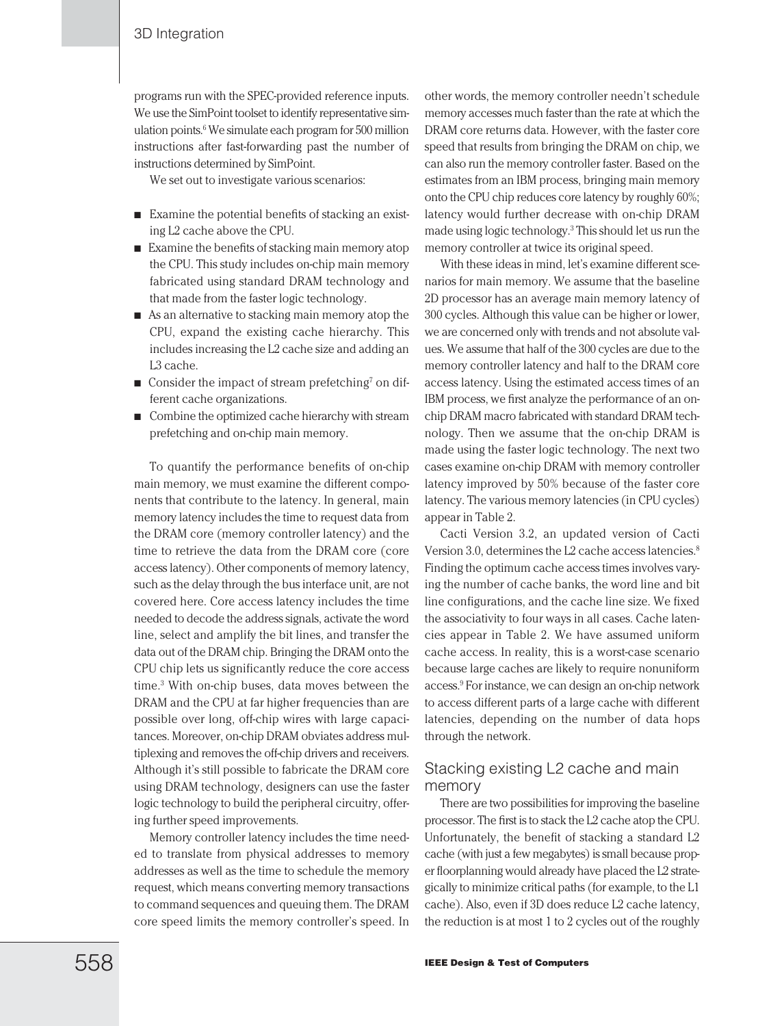programs run with the SPEC-provided reference inputs. We use the SimPoint toolset to identify representative simulation points.6 We simulate each program for 500 million instructions after fast-forwarding past the number of instructions determined by SimPoint.

We set out to investigate various scenarios:

- Examine the potential benefits of stacking an existing L2 cache above the CPU.
- Examine the benefits of stacking main memory atop the CPU. This study includes on-chip main memory fabricated using standard DRAM technology and that made from the faster logic technology.
- As an alternative to stacking main memory atop the CPU, expand the existing cache hierarchy. This includes increasing the L2 cache size and adding an L3 cache.
- Consider the impact of stream prefetching<sup>7</sup> on different cache organizations.
- Combine the optimized cache hierarchy with stream prefetching and on-chip main memory.

To quantify the performance benefits of on-chip main memory, we must examine the different components that contribute to the latency. In general, main memory latency includes the time to request data from the DRAM core (memory controller latency) and the time to retrieve the data from the DRAM core (core access latency). Other components of memory latency, such as the delay through the bus interface unit, are not covered here. Core access latency includes the time needed to decode the address signals, activate the word line, select and amplify the bit lines, and transfer the data out of the DRAM chip. Bringing the DRAM onto the CPU chip lets us significantly reduce the core access time.3 With on-chip buses, data moves between the DRAM and the CPU at far higher frequencies than are possible over long, off-chip wires with large capacitances. Moreover, on-chip DRAM obviates address multiplexing and removes the off-chip drivers and receivers. Although it's still possible to fabricate the DRAM core using DRAM technology, designers can use the faster logic technology to build the peripheral circuitry, offering further speed improvements.

Memory controller latency includes the time needed to translate from physical addresses to memory addresses as well as the time to schedule the memory request, which means converting memory transactions to command sequences and queuing them. The DRAM core speed limits the memory controller's speed. In

other words, the memory controller needn't schedule memory accesses much faster than the rate at which the DRAM core returns data. However, with the faster core speed that results from bringing the DRAM on chip, we can also run the memory controller faster. Based on the estimates from an IBM process, bringing main memory onto the CPU chip reduces core latency by roughly 60%; latency would further decrease with on-chip DRAM made using logic technology.3 This should let us run the memory controller at twice its original speed.

With these ideas in mind, let's examine different scenarios for main memory. We assume that the baseline 2D processor has an average main memory latency of 300 cycles. Although this value can be higher or lower, we are concerned only with trends and not absolute values. We assume that half of the 300 cycles are due to the memory controller latency and half to the DRAM core access latency. Using the estimated access times of an IBM process, we first analyze the performance of an onchip DRAM macro fabricated with standard DRAM technology. Then we assume that the on-chip DRAM is made using the faster logic technology. The next two cases examine on-chip DRAM with memory controller latency improved by 50% because of the faster core latency. The various memory latencies (in CPU cycles) appear in Table 2.

Cacti Version 3.2, an updated version of Cacti Version 3.0, determines the L2 cache access latencies.<sup>8</sup> Finding the optimum cache access times involves varying the number of cache banks, the word line and bit line configurations, and the cache line size. We fixed the associativity to four ways in all cases. Cache latencies appear in Table 2. We have assumed uniform cache access. In reality, this is a worst-case scenario because large caches are likely to require nonuniform access.9 For instance, we can design an on-chip network to access different parts of a large cache with different latencies, depending on the number of data hops through the network.

## Stacking existing L2 cache and main memory

There are two possibilities for improving the baseline processor. The first is to stack the L2 cache atop the CPU. Unfortunately, the benefit of stacking a standard L2 cache (with just a few megabytes) is small because proper floorplanning would already have placed the L2 strategically to minimize critical paths (for example, to the L1 cache). Also, even if 3D does reduce L2 cache latency, the reduction is at most 1 to 2 cycles out of the roughly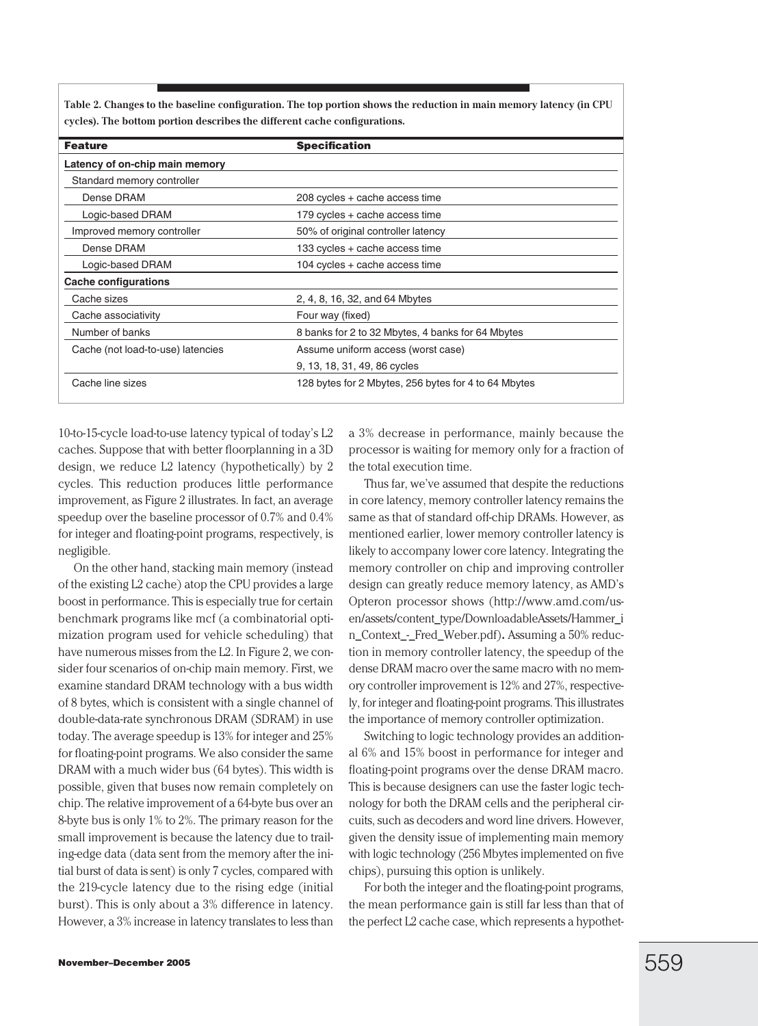**Table 2. Changes to the baseline configuration. The top portion shows the reduction in main memory latency (in CPU cycles). The bottom portion describes the different cache configurations.**

| <b>Feature</b>                    | <b>Specification</b>                                 |
|-----------------------------------|------------------------------------------------------|
| Latency of on-chip main memory    |                                                      |
| Standard memory controller        |                                                      |
| Dense DRAM                        | 208 cycles + cache access time                       |
| Logic-based DRAM                  | 179 cycles + cache access time                       |
| Improved memory controller        | 50% of original controller latency                   |
| Dense DRAM                        | 133 cycles + cache access time                       |
| Logic-based DRAM                  | 104 cycles + cache access time                       |
| <b>Cache configurations</b>       |                                                      |
| Cache sizes                       | 2, 4, 8, 16, 32, and 64 Mbytes                       |
| Cache associativity               | Four way (fixed)                                     |
| Number of banks                   | 8 banks for 2 to 32 Mbytes, 4 banks for 64 Mbytes    |
| Cache (not load-to-use) latencies | Assume uniform access (worst case)                   |
|                                   | 9, 13, 18, 31, 49, 86 cycles                         |
| Cache line sizes                  | 128 bytes for 2 Mbytes, 256 bytes for 4 to 64 Mbytes |

10-to-15-cycle load-to-use latency typical of today's L2 caches. Suppose that with better floorplanning in a 3D design, we reduce L2 latency (hypothetically) by 2 cycles. This reduction produces little performance improvement, as Figure 2 illustrates. In fact, an average speedup over the baseline processor of 0.7% and 0.4% for integer and floating-point programs, respectively, is negligible.

On the other hand, stacking main memory (instead of the existing L2 cache) atop the CPU provides a large boost in performance. This is especially true for certain benchmark programs like mcf (a combinatorial optimization program used for vehicle scheduling) that have numerous misses from the L2. In Figure 2, we consider four scenarios of on-chip main memory. First, we examine standard DRAM technology with a bus width of 8 bytes, which is consistent with a single channel of double-data-rate synchronous DRAM (SDRAM) in use today. The average speedup is 13% for integer and 25% for floating-point programs. We also consider the same DRAM with a much wider bus (64 bytes). This width is possible, given that buses now remain completely on chip. The relative improvement of a 64-byte bus over an 8-byte bus is only 1% to 2%. The primary reason for the small improvement is because the latency due to trailing-edge data (data sent from the memory after the initial burst of data is sent) is only 7 cycles, compared with the 219-cycle latency due to the rising edge (initial burst). This is only about a 3% difference in latency. However, a 3% increase in latency translates to less than

a 3% decrease in performance, mainly because the processor is waiting for memory only for a fraction of the total execution time.

Thus far, we've assumed that despite the reductions in core latency, memory controller latency remains the same as that of standard off-chip DRAMs. However, as mentioned earlier, lower memory controller latency is likely to accompany lower core latency. Integrating the memory controller on chip and improving controller design can greatly reduce memory latency, as AMD's Opteron processor shows (http://www.amd.com/usen/assets/content\_type/DownloadableAssets/Hammer\_i n\_Context\_-\_Fred\_Weber.pdf)**.** Assuming a 50% reduction in memory controller latency, the speedup of the dense DRAM macro over the same macro with no memory controller improvement is 12% and 27%, respectively, for integer and floating-point programs. This illustrates the importance of memory controller optimization.

Switching to logic technology provides an additional 6% and 15% boost in performance for integer and floating-point programs over the dense DRAM macro. This is because designers can use the faster logic technology for both the DRAM cells and the peripheral circuits, such as decoders and word line drivers. However, given the density issue of implementing main memory with logic technology (256 Mbytes implemented on five chips), pursuing this option is unlikely.

For both the integer and the floating-point programs, the mean performance gain is still far less than that of the perfect L2 cache case, which represents a hypothet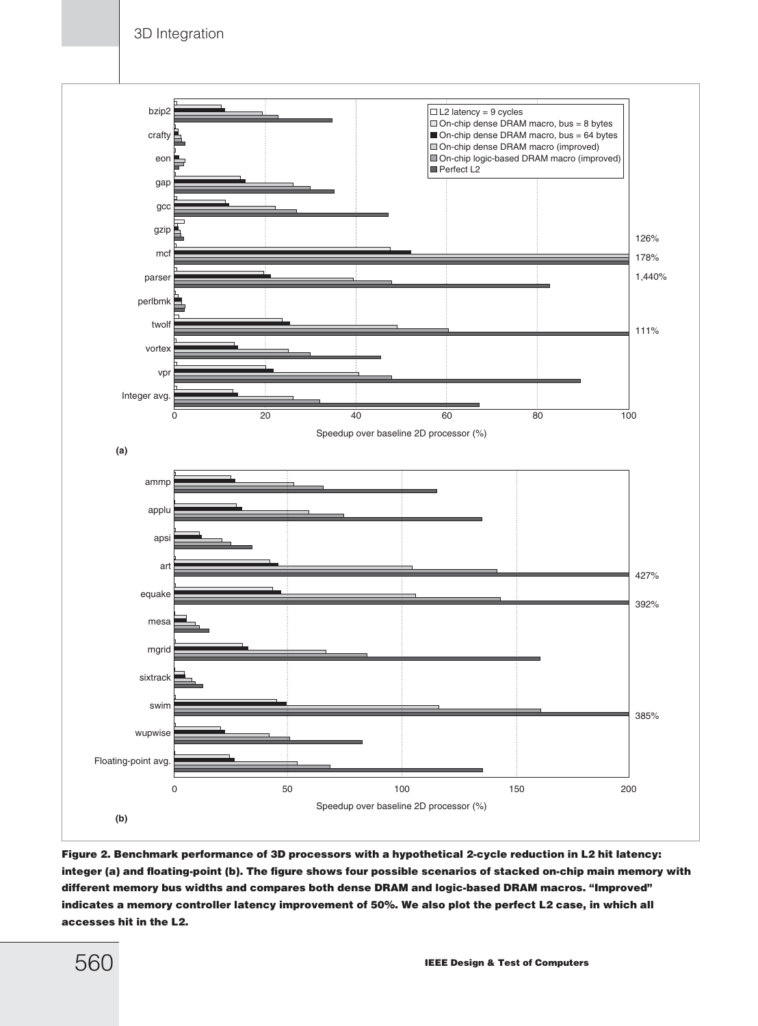3D Integration



**Figure 2. Benchmark performance of 3D processors with a hypothetical 2-cycle reduction in L2 hit latency: integer (a) and floating-point (b). The figure shows four possible scenarios of stacked on-chip main memory with different memory bus widths and compares both dense DRAM and logic-based DRAM macros. "Improved" indicates a memory controller latency improvement of 50%. We also plot the perfect L2 case, in which all accesses hit in the L2.**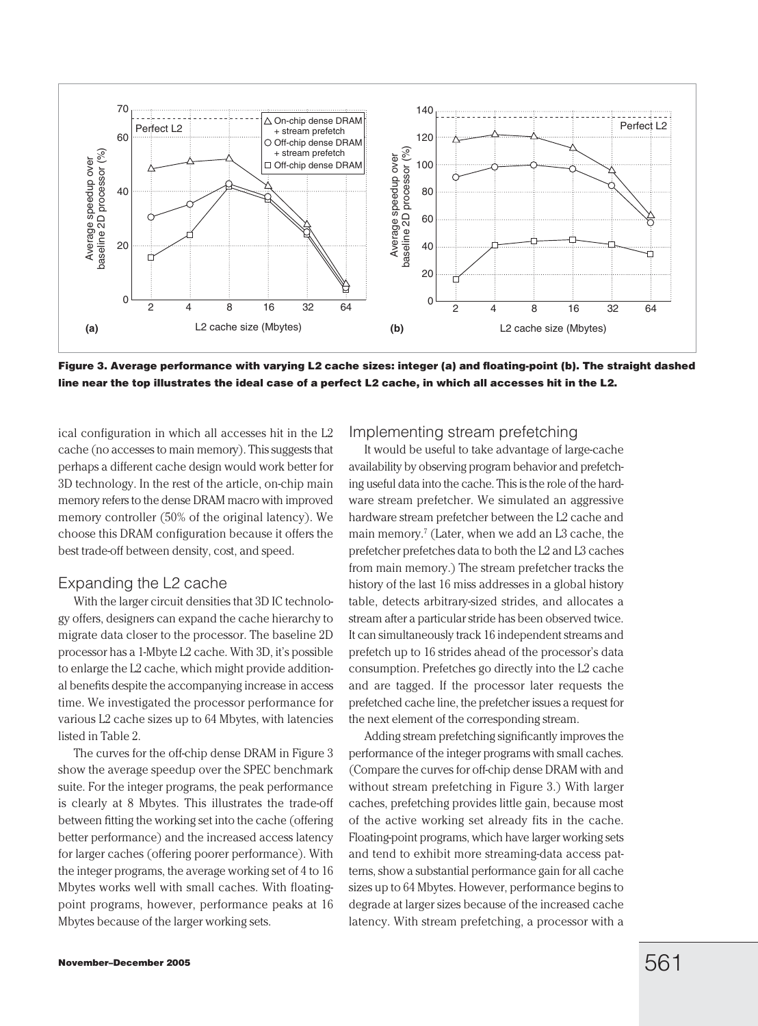

**Figure 3. Average performance with varying L2 cache sizes: integer (a) and floating-point (b). The straight dashed line near the top illustrates the ideal case of a perfect L2 cache, in which all accesses hit in the L2.**

ical configuration in which all accesses hit in the L2 cache (no accesses to main memory). This suggests that perhaps a different cache design would work better for 3D technology. In the rest of the article, on-chip main memory refers to the dense DRAM macro with improved memory controller (50% of the original latency). We choose this DRAM configuration because it offers the best trade-off between density, cost, and speed.

#### Expanding the L2 cache

With the larger circuit densities that 3D IC technology offers, designers can expand the cache hierarchy to migrate data closer to the processor. The baseline 2D processor has a 1-Mbyte L2 cache. With 3D, it's possible to enlarge the L2 cache, which might provide additional benefits despite the accompanying increase in access time. We investigated the processor performance for various L2 cache sizes up to 64 Mbytes, with latencies listed in Table 2.

The curves for the off-chip dense DRAM in Figure 3 show the average speedup over the SPEC benchmark suite. For the integer programs, the peak performance is clearly at 8 Mbytes. This illustrates the trade-off between fitting the working set into the cache (offering better performance) and the increased access latency for larger caches (offering poorer performance). With the integer programs, the average working set of 4 to 16 Mbytes works well with small caches. With floatingpoint programs, however, performance peaks at 16 Mbytes because of the larger working sets.

#### Implementing stream prefetching

It would be useful to take advantage of large-cache availability by observing program behavior and prefetching useful data into the cache. This is the role of the hardware stream prefetcher. We simulated an aggressive hardware stream prefetcher between the L2 cache and main memory.<sup>7</sup> (Later, when we add an L3 cache, the prefetcher prefetches data to both the L2 and L3 caches from main memory.) The stream prefetcher tracks the history of the last 16 miss addresses in a global history table, detects arbitrary-sized strides, and allocates a stream after a particular stride has been observed twice. It can simultaneously track 16 independent streams and prefetch up to 16 strides ahead of the processor's data consumption. Prefetches go directly into the L2 cache and are tagged. If the processor later requests the prefetched cache line, the prefetcher issues a request for the next element of the corresponding stream.

Adding stream prefetching significantly improves the performance of the integer programs with small caches. (Compare the curves for off-chip dense DRAM with and without stream prefetching in Figure 3.) With larger caches, prefetching provides little gain, because most of the active working set already fits in the cache. Floating-point programs, which have larger working sets and tend to exhibit more streaming-data access patterns, show a substantial performance gain for all cache sizes up to 64 Mbytes. However, performance begins to degrade at larger sizes because of the increased cache latency. With stream prefetching, a processor with a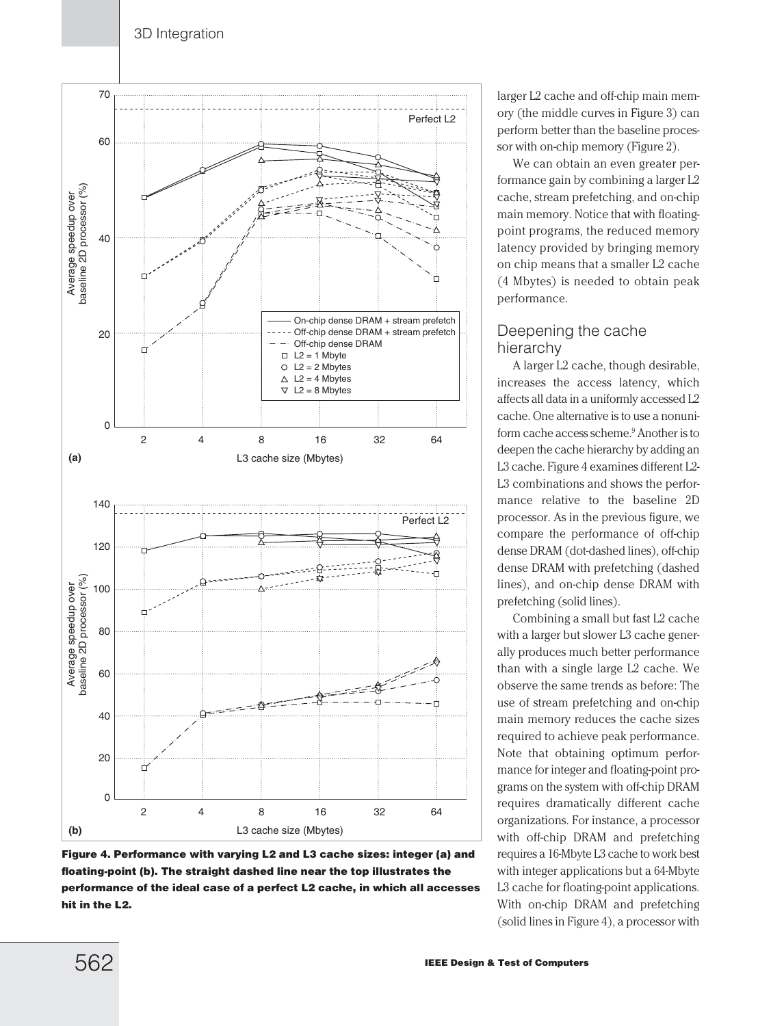

**Figure 4. Performance with varying L2 and L3 cache sizes: integer (a) and floating-point (b). The straight dashed line near the top illustrates the performance of the ideal case of a perfect L2 cache, in which all accesses hit in the L2.**

larger L2 cache and off-chip main memory (the middle curves in Figure 3) can perform better than the baseline processor with on-chip memory (Figure 2).

We can obtain an even greater performance gain by combining a larger L2 cache, stream prefetching, and on-chip main memory. Notice that with floatingpoint programs, the reduced memory latency provided by bringing memory on chip means that a smaller L2 cache (4 Mbytes) is needed to obtain peak performance.

# Deepening the cache hierarchy

A larger L2 cache, though desirable, increases the access latency, which affects all data in a uniformly accessed L2 cache. One alternative is to use a nonuniform cache access scheme.9 Another is to deepen the cache hierarchy by adding an L3 cache. Figure 4 examines different L2- L3 combinations and shows the performance relative to the baseline 2D processor. As in the previous figure, we compare the performance of off-chip dense DRAM (dot-dashed lines), off-chip dense DRAM with prefetching (dashed lines), and on-chip dense DRAM with prefetching (solid lines).

Combining a small but fast L2 cache with a larger but slower L3 cache generally produces much better performance than with a single large L2 cache. We observe the same trends as before: The use of stream prefetching and on-chip main memory reduces the cache sizes required to achieve peak performance. Note that obtaining optimum performance for integer and floating-point programs on the system with off-chip DRAM requires dramatically different cache organizations. For instance, a processor with off-chip DRAM and prefetching requires a 16-Mbyte L3 cache to work best with integer applications but a 64-Mbyte L3 cache for floating-point applications. With on-chip DRAM and prefetching (solid lines in Figure 4), a processor with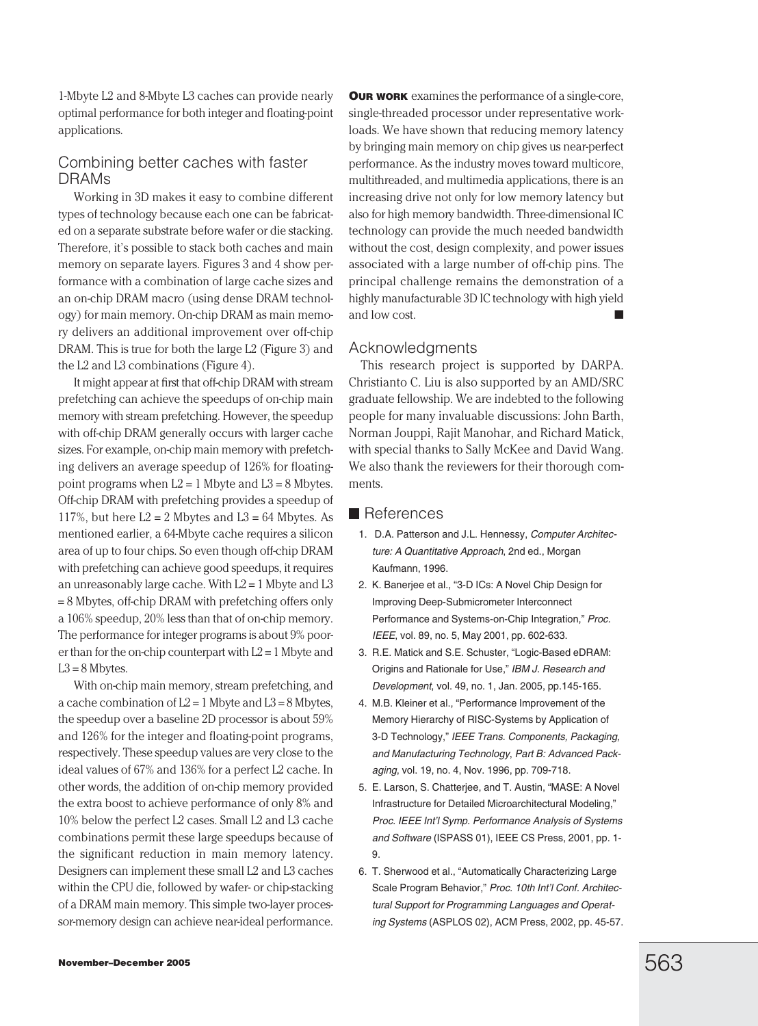1-Mbyte L2 and 8-Mbyte L3 caches can provide nearly optimal performance for both integer and floating-point applications.

### Combining better caches with faster DRAMs

Working in 3D makes it easy to combine different types of technology because each one can be fabricated on a separate substrate before wafer or die stacking. Therefore, it's possible to stack both caches and main memory on separate layers. Figures 3 and 4 show performance with a combination of large cache sizes and an on-chip DRAM macro (using dense DRAM technology) for main memory. On-chip DRAM as main memory delivers an additional improvement over off-chip DRAM. This is true for both the large L2 (Figure 3) and the L2 and L3 combinations (Figure 4).

It might appear at first that off-chip DRAM with stream prefetching can achieve the speedups of on-chip main memory with stream prefetching. However, the speedup with off-chip DRAM generally occurs with larger cache sizes. For example, on-chip main memory with prefetching delivers an average speedup of 126% for floatingpoint programs when  $L2 = 1$  Mbyte and  $L3 = 8$  Mbytes. Off-chip DRAM with prefetching provides a speedup of 117%, but here  $L2 = 2$  Mbytes and  $L3 = 64$  Mbytes. As mentioned earlier, a 64-Mbyte cache requires a silicon area of up to four chips. So even though off-chip DRAM with prefetching can achieve good speedups, it requires an unreasonably large cache. With  $L2 = 1$  Mbyte and  $L3$ = 8 Mbytes, off-chip DRAM with prefetching offers only a 106% speedup, 20% less than that of on-chip memory. The performance for integer programs is about 9% poorer than for the on-chip counterpart with  $L2 = 1$  Mbyte and  $L3 = 8$  Mbytes.

With on-chip main memory, stream prefetching, and a cache combination of  $L2 = 1$  Mbyte and  $L3 = 8$  Mbytes, the speedup over a baseline 2D processor is about 59% and 126% for the integer and floating-point programs, respectively. These speedup values are very close to the ideal values of 67% and 136% for a perfect L2 cache. In other words, the addition of on-chip memory provided the extra boost to achieve performance of only 8% and 10% below the perfect L2 cases. Small L2 and L3 cache combinations permit these large speedups because of the significant reduction in main memory latency. Designers can implement these small L2 and L3 caches within the CPU die, followed by wafer- or chip-stacking of a DRAM main memory. This simple two-layer processor-memory design can achieve near-ideal performance.

**OUR WORK** examines the performance of a single-core, single-threaded processor under representative workloads. We have shown that reducing memory latency by bringing main memory on chip gives us near-perfect performance. As the industry moves toward multicore, multithreaded, and multimedia applications, there is an increasing drive not only for low memory latency but also for high memory bandwidth. Three-dimensional IC technology can provide the much needed bandwidth without the cost, design complexity, and power issues associated with a large number of off-chip pins. The principal challenge remains the demonstration of a highly manufacturable 3D IC technology with high yield and low cost.

#### Acknowledgments

This research project is supported by DARPA. Christianto C. Liu is also supported by an AMD/SRC graduate fellowship. We are indebted to the following people for many invaluable discussions: John Barth, Norman Jouppi, Rajit Manohar, and Richard Matick, with special thanks to Sally McKee and David Wang. We also thank the reviewers for their thorough comments.

#### **■** References

- 1. D.A. Patterson and J.L. Hennessy, Computer Architecture: A Quantitative Approach, 2nd ed., Morgan Kaufmann, 1996.
- 2. K. Banerjee et al., "3-D ICs: A Novel Chip Design for Improving Deep-Submicrometer Interconnect Performance and Systems-on-Chip Integration," Proc. IEEE, vol. 89, no. 5, May 2001, pp. 602-633.
- 3. R.E. Matick and S.E. Schuster, "Logic-Based eDRAM: Origins and Rationale for Use," IBM J. Research and Development, vol. 49, no. 1, Jan. 2005, pp.145-165.
- 4. M.B. Kleiner et al., "Performance Improvement of the Memory Hierarchy of RISC-Systems by Application of 3-D Technology," IEEE Trans. Components, Packaging, and Manufacturing Technology, Part B: Advanced Packaging, vol. 19, no. 4, Nov. 1996, pp. 709-718.
- 5. E. Larson, S. Chatterjee, and T. Austin, "MASE: A Novel Infrastructure for Detailed Microarchitectural Modeling," Proc. IEEE Int'l Symp. Performance Analysis of Systems and Software (ISPASS 01), IEEE CS Press, 2001, pp. 1- 9.
- 6. T. Sherwood et al., "Automatically Characterizing Large Scale Program Behavior," Proc. 10th Int'l Conf. Architectural Support for Programming Languages and Operating Systems (ASPLOS 02), ACM Press, 2002, pp. 45-57.